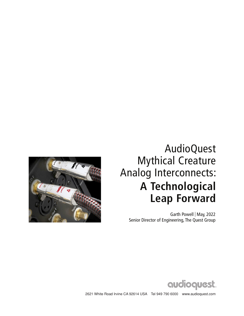

## AudioQuest Mythical Creature Analog Interconnects: **A Technological Leap Forward**

Garth Powell | May, 2022 Senior Director of Engineering, The Quest Group



2621 White Road Irvine CA 92614 USA Tel 949 790 6000 www.audioquest.com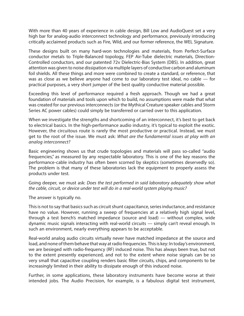With more than 40 years of experience in cable design, Bill Low and AudioQuest set a very high bar for analog-audio interconnect technology and performance, previously introducing critically acclaimed products such as Fire, Wild, and our former reference, the WEL Signature.

These designs built on many hard-won technologies and materials, from Perfect-Surface conductor metals to Triple-Balanced topology, FEP Air-Tube dielectric materials, Direction-Controlled conductors, and our patented 72v Dielectric-Bias System (DBS). In addition, great attention was given to noise dissipation via multiple layers of conductive carbon and aluminum foil shields. All these things and more were combined to create a standard, or reference, that was as close as we believe anyone had come to our laboratory test ideal, no cable — for practical purposes, a very short jumper of the best quality conductive material possible.

Exceeding this level of performance required a fresh approach. Though we had a great foundation of materials and tools upon which to build, no assumptions were made that what was created for our previous interconnects (or the Mythical Creature speaker cables and Storm Series AC power cables) could simply be transferred or carried over to this application.

When we investigate the strengths and shortcoming of an interconnect, it's best to get back to electrical basics. In the high-performance audio industry, it's typical to exploit the exotic. However, the circuitous route is rarely the most productive or practical. Instead, we must get to the root of the issue. We must ask: *What are the fundamental issues at play with an analog interconnect?*

Basic engineering shows us that crude topologies and materials will pass so-called "audio frequencies," as measured by any respectable laboratory. This is one of the key reasons the performance-cable industry has often been scorned by skeptics (sometimes deservedly so). The problem is that many of these laboratories lack the equipment to properly assess the products under test.

Going deeper, we must ask: *Does the test performed in said laboratory adequately show what the cable, circuit, or device under test will do in a real-world system playing music?*

The answer is typically no.

This is not to say that basics such as circuit shunt capacitance, series inductance, and resistance have no value. However, running a sweep of frequencies at a relatively high signal level, through a test bench's matched impedance (source and load) — without complex, wide dynamic music signals interacting with real-world circuits — simply can't reveal enough. In such an environment, nearly everything appears to be acceptable.

Real-world analog audio circuits virtually never have matched impedance at the source and load, and none of them behave that way at radio frequencies. This is key: In today's environment, we are besieged with radio-frequency (RF) induced noise. This has always been true, but not to the extent presently experienced, and not to the extent where noise signals can be so very small that capacitive coupling renders basic filter circuits, chips, and components to be increasingly limited in their ability to dissipate enough of this induced noise.

Further, in some applications, these laboratory instruments have become worse at their intended jobs. The Audio Precision, for example, is a fabulous digital test instrument,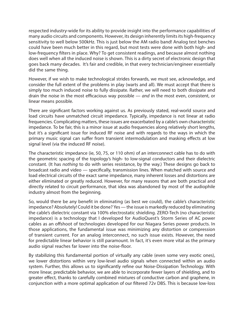respected industry-wide for its ability to provide insight into the performance capabilities of many audio circuits and components. However, its design inherently limits its high-frequency sensitivity to well below 500kHz. This is just below the AM radio band! Analog test benches could have been much better in this regard, but most tests were done with both high- and low-frequency filters in place. Why? To get consistent readings, and because almost nothing does well when all the induced noise is shown. This is a dirty secret of electronic design that goes back many decades. It's fair and credible, in that every technician/engineer essentially did the same thing.

However, if we wish to make technological strides forwards, we must see, acknowledge, and consider the full extent of the problems in play (warts and all). We must accept that there is simply too much induced noise to fully dissipate. Rather, we will need to both dissipate and drain the noise in the most efficacious way possible — *and* in the most even, consistent, or linear means possible.

There are significant factors working against us. As previously stated, real-world source and load circuits have unmatched circuit impedance. Typically, impedance is not linear at radio frequencies. Complicating matters, these issues are exacerbated by a cable's own characteristic impedance. To be fair, this is a minor issue at audio frequencies along relatively short lengths, but it's a significant issue for induced RF noise and with regards to the ways in which the primary music signal can suffer from transient intermodulation and masking effects at low signal level (via the induced RF noise).

The characteristic impedance (ie, 50, 75, or 110 ohm) of an interconnect cable has to do with the geometric spacing of the topology's high- to low-signal conductors and their dielectric constant. (It has *nothing* to do with series resistance, by the way.) These designs go back to broadcast radio and video — specifically, transmission lines. When matched with source and load electrical circuits of the exact same impedance, many inherent losses and distortions are either eliminated or greatly reduced. However, for many reasons that are both practical and directly related to circuit performance, that idea was abandoned by most of the audiophile industry almost from the beginning.

So, would there be any benefit in eliminating (as best we could), the cable's characteristic impedance? Absolutely! Could it be done? Yes — the issue is markedly reduced by eliminating the cable's dielectric constant via 100% electrostatic shielding. ZERO-Tech (no characteristic impedance) is a technology that I developed for AudioQuest's Storm Series of AC power cables as an offshoot of technologies developed for our Niagara Series power products. In those applications, the fundamental issue was minimizing any distortion or compression of transient current. For an analog interconnect, no such issue exists. However, the need for predictable linear behavior is still paramount. In fact, it's even more vital as the primary audio signal reaches far lower into the noise-floor.

By stabilizing this fundamental portion of virtually any cable (even some very exotic ones), we lower distortions within very low-level audio signals when connected within an audio system. Further, this allows us to significantly refine our Noise-Dissipation Technology. With more linear, predictable behavior, we are able to incorporate fewer layers of shielding, and to greater effect, thanks to carefully combined mixtures of conductive carbon and graphene, in conjunction with a more optimal application of our filtered 72v DBS. This is because low-loss